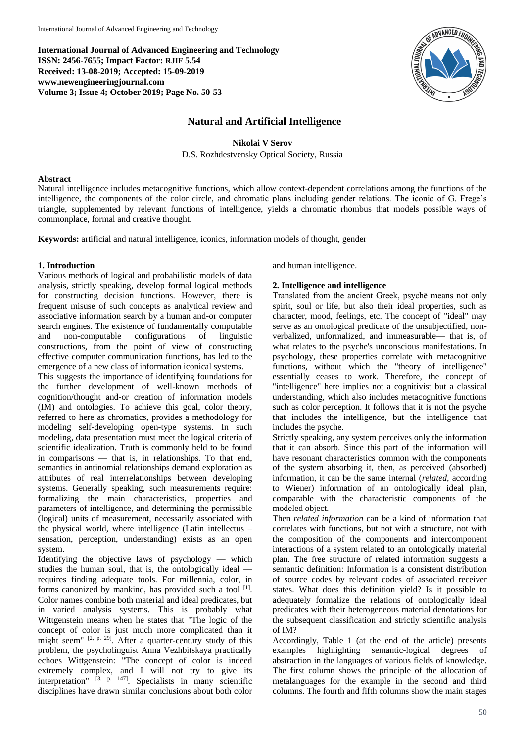**International Journal of Advanced Engineering and Technology ISSN: 2456-7655; Impact Factor: RJIF 5.54 Received: 13-08-2019; Accepted: 15-09-2019 www.newengineeringjournal.com Volume 3; Issue 4; October 2019; Page No. 50-53**



## **Natural and Artificial Intelligence**

**Nikolai V Serov** D.S. Rozhdestvensky Optical Society, Russia

#### **Abstract**

Natural intelligence includes metacognitive functions, which allow context-dependent correlations among the functions of the intelligence, the components of the color circle, and chromatic plans including gender relations. The iconic of G. Frege's triangle, supplemented by relevant functions of intelligence, yields a chromatic rhombus that models possible ways of commonplace, formal and creative thought.

**Keywords:** artificial and natural intelligence, iconics, information models of thought, gender

#### **1. Introduction**

Various methods of logical and probabilistic models of data analysis, strictly speaking, develop formal logical methods for constructing decision functions. However, there is frequent misuse of such concepts as analytical review and associative information search by a human and-or computer search engines. The existence of fundamentally computable and non-computable configurations of linguistic constructions, from the point of view of constructing effective computer communication functions, has led to the emergence of a new class of information iconical systems.

This suggests the importance of identifying foundations for the further development of well-known methods of cognition/thought and-or creation of information models (IM) and ontologies. To achieve this goal, color theory, referred to here as chromatics, provides a methodology for modeling self-developing open-type systems. In such modeling, data presentation must meet the logical criteria of scientific idealization. Truth is commonly held to be found in comparisons — that is, in relationships. To that end, semantics in antinomial relationships demand exploration as attributes of real interrelationships between developing systems. Generally speaking, such measurements require: formalizing the main characteristics, properties and parameters of intelligence, and determining the permissible (logical) units of measurement, necessarily associated with the physical world, where intelligence (Latin intellectus – sensation, perception, understanding) exists as an open system.

Identifying the objective laws of psychology — which studies the human soul, that is, the ontologically ideal requires finding adequate tools. For millennia, color, in forms canonized by mankind, has provided such a tool <sup>[1]</sup>. Color names combine both material and ideal predicates, but in varied analysis systems. This is probably what Wittgenstein means when he states that "The logic of the concept of color is just much more complicated than it might seem" <sup>[2, p. 29]</sup>. After a quarter-century study of this problem, the psycholinguist Anna Vezhbitskaya practically echoes Wittgenstein: "The concept of color is indeed extremely complex, and I will not try to give its interpretation" [3, p. 147]. Specialists in many scientific disciplines have drawn similar conclusions about both color

and human intelligence.

## **2. Intelligence and intelligence**

Translated from the ancient Greek, psychē means not only spirit, soul or life, but also their ideal properties, such as character, mood, feelings, etc. The concept of "ideal" may serve as an ontological predicate of the unsubjectified, nonverbalized, unformalized, and immeasurable— that is, of what relates to the psyche's unconscious manifestations. In psychology, these properties correlate with metacognitive functions, without which the "theory of intelligence" essentially ceases to work. Therefore, the concept of "intelligence" here implies not a cognitivist but a classical understanding, which also includes metacognitive functions such as color perception. It follows that it is not the psyche that includes the intelligence, but the intelligence that includes the psyche.

Strictly speaking, any system perceives only the information that it can absorb. Since this part of the information will have resonant characteristics common with the components of the system absorbing it, then, as perceived (absorbed) information, it can be the same internal (*related*, according to Wiener) information of an ontologically ideal plan, comparable with the characteristic components of the modeled object.

Then *related information* can be a kind of information that correlates with functions, but not with a structure, not with the composition of the components and intercomponent interactions of a system related to an ontologically material plan. The free structure of related information suggests a semantic definition: Information is a consistent distribution of source codes by relevant codes of associated receiver states. What does this definition yield? Is it possible to adequately formalize the relations of ontologically ideal predicates with their heterogeneous material denotations for the subsequent classification and strictly scientific analysis of IM?

Accordingly, Table 1 (at the end of the article) presents examples highlighting semantic-logical degrees of abstraction in the languages of various fields of knowledge. The first column shows the principle of the allocation of metalanguages for the example in the second and third columns. The fourth and fifth columns show the main stages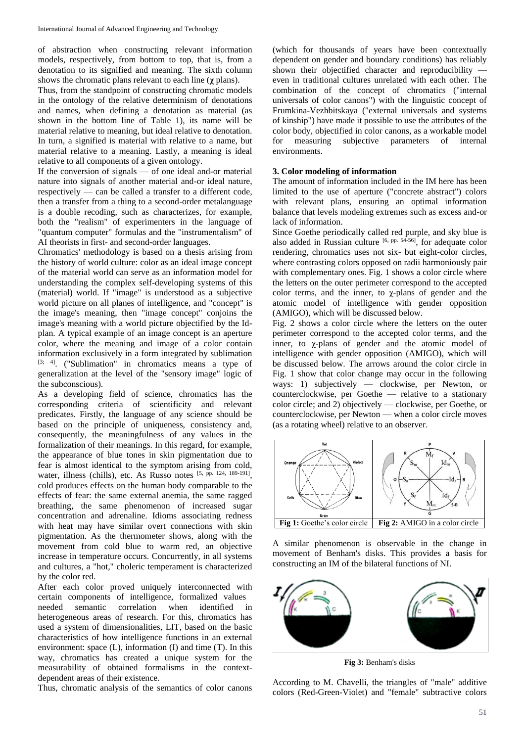of abstraction when constructing relevant information models, respectively, from bottom to top, that is, from a denotation to its signified and meaning. The sixth column shows the chromatic plans relevant to each line (**χ** plans).

Thus, from the standpoint of constructing chromatic models in the ontology of the relative determinism of denotations and names, when defining a denotation as material (as shown in the bottom line of Table 1), its name will be material relative to meaning, but ideal relative to denotation. In turn, a signified is material with relative to a name, but material relative to a meaning. Lastly, a meaning is ideal relative to all components of a given ontology.

If the conversion of signals — of one ideal and-or material nature into signals of another material and-or ideal nature, respectively — can be called a transfer to a different code, then a transfer from a thing to a second-order metalanguage is a double recoding, such as characterizes, for example, both the "realism" of experimenters in the language of "quantum computer" formulas and the "instrumentalism" of AI theorists in first- and second-order languages.

Chromatics' methodology is based on a thesis arising from the history of world culture: color as an ideal image concept of the material world can serve as an information model for understanding the complex self-developing systems of this (material) world. If "image" is understood as a subjective world picture on all planes of intelligence, and "concept" is the image's meaning, then "image concept" conjoins the image's meaning with a world picture objectified by the Idplan. A typical example of an image concept is an aperture color, where the meaning and image of a color contain information exclusively in a form integrated by sublimation  $[3, 4]$ . ("Sublimation" in chromatics means a type of generalization at the level of the "sensory image" logic of the subconscious).

As a developing field of science, chromatics has the corresponding criteria of scientificity and relevant predicates. Firstly, the language of any science should be based on the principle of uniqueness, consistency and, consequently, the meaningfulness of any values in the formalization of their meanings. In this regard, for example, the appearance of blue tones in skin pigmentation due to fear is almost identical to the symptom arising from cold, water, illness (chills), etc. As Russo notes [5, pp. 124, 189-191], cold produces effects on the human body comparable to the effects of fear: the same external anemia, the same ragged breathing, the same phenomenon of increased sugar concentration and adrenaline. Idioms associating redness with heat may have similar overt connections with skin pigmentation. As the thermometer shows, along with the movement from cold blue to warm red, an objective increase in temperature occurs. Concurrently, in all systems and cultures, a "hot," choleric temperament is characterized by the color red.

After each color proved uniquely interconnected with certain components of intelligence, formalized values needed semantic correlation when identified in heterogeneous areas of research. For this, chromatics has used a system of dimensionalities, LIT, based on the basic characteristics of how intelligence functions in an external environment: space (L), information (I) and time (T). In this way, chromatics has created a unique system for the measurability of obtained formalisms in the contextdependent areas of their existence.

Thus, chromatic analysis of the semantics of color canons

(which for thousands of years have been contextually dependent on gender and boundary conditions) has reliably shown their objectified character and reproducibility even in traditional cultures unrelated with each other. The combination of the concept of chromatics ("internal universals of color canons") with the linguistic concept of Frumkina-Vezhbitskaya ("external universals and systems of kinship") have made it possible to use the attributes of the color body, objectified in color canons, as a workable model for measuring subjective parameters of internal environments.

#### **3. Color modeling of information**

The amount of information included in the IM here has been limited to the use of aperture ("concrete abstract") colors with relevant plans, ensuring an optimal information balance that levels modeling extremes such as excess and-or lack of information.

Since Goethe periodically called red purple, and sky blue is also added in Russian culture [6, pp. 54-56], for adequate color rendering, chromatics uses not six- but eight-color circles, where contrasting colors opposed on radii harmoniously pair with complementary ones. Fig. 1 shows a color circle where the letters on the outer perimeter correspond to the accepted color terms, and the inner, to  $\chi$ -plans of gender and the atomic model of intelligence with gender opposition (AMIGO), which will be discussed below.

Fig. 2 shows a color circle where the letters on the outer perimeter correspond to the accepted color terms, and the inner, to χ-plans of gender and the atomic model of intelligence with gender opposition (AMIGO), which will be discussed below. The arrows around the color circle in Fig. 1 show that color change may occur in the following ways: 1) subjectively — clockwise, per Newton, or counterclockwise, per Goethe — relative to a stationary color circle; and 2) objectively — clockwise, per Goethe, or counterclockwise, per Newton — when a color circle moves (as a rotating wheel) relative to an observer.



A similar phenomenon is observable in the change in movement of Benham's disks. This provides a basis for constructing an IM of the bilateral functions of NI.



**Fig 3:** Benham's disks

According to M. Chavelli, the triangles of "male" additive colors (Red-Green-Violet) and "female" subtractive colors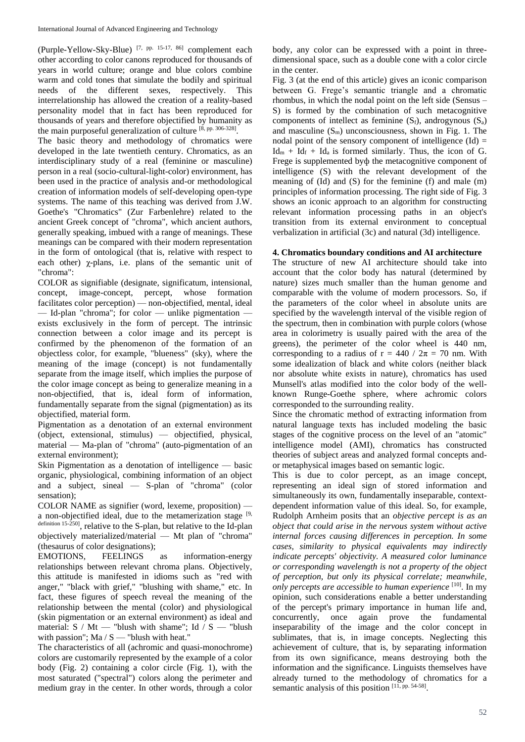(Purple-Yellow-Sky-Blue) [7, pp. 15-17, 86] complement each other according to color canons reproduced for thousands of years in world culture; orange and blue colors combine warm and cold tones that simulate the bodily and spiritual needs of the different sexes, respectively. This interrelationship has allowed the creation of a reality-based personality model that in fact has been reproduced for thousands of years and therefore objectified by humanity as the main purposeful generalization of culture [8, pp. 306-328].

The basic theory and methodology of chromatics were developed in the late twentieth century. Chromatics, as an interdisciplinary study of a real (feminine or masculine) person in a real (socio-cultural-light-color) environment, has been used in the practice of analysis and-or methodological creation of information models of self-developing open-type systems. The name of this teaching was derived from J.W. Goethe's "Chromatics" (Zur Farbenlehre) related to the ancient Greek concept of "chroma", which ancient authors, generally speaking, imbued with a range of meanings. These meanings can be compared with their modern representation in the form of ontological (that is, relative with respect to each other) χ-plans, i.e. plans of the semantic unit of "chroma":

COLOR as signifiable (designate, significatum, intensional, concept, image-concept, percept, whose formation facilitates color perception) — non-objectified, mental, ideal — Id-plan "chroma"; for color — unlike pigmentation exists exclusively in the form of percept. The intrinsic connection between a color image and its percept is confirmed by the phenomenon of the formation of an objectless color, for example, "blueness" (sky), where the meaning of the image (concept) is not fundamentally separate from the image itself, which implies the purpose of the color image concept as being to generalize meaning in a non-objectified, that is, ideal form of information, fundamentally separate from the signal (pigmentation) as its objectified, material form.

Pigmentation as a denotation of an external environment (object, extensional, stimulus) — objectified, physical, material — Ma-plan of "chroma" (auto-pigmentation of an external environment);

Skin Pigmentation as a denotation of intelligence — basic organic, physiological, combining information of an object and a subject, sineal — S-plan of "chroma" (color sensation);

COLOR NAME as signifier (word, lexeme, proposition) a non-objectified ideal, due to the metamerization stage [9, definition 15-250], relative to the S-plan, but relative to the Id-plan objectively materialized/material — Mt plan of "chroma" (thesaurus of color designations);

EMOTIONS, FEELINGS as information-energy relationships between relevant chroma plans. Objectively, this attitude is manifested in idioms such as "red with anger," "black with grief," "blushing with shame," etc. In fact, these figures of speech reveal the meaning of the relationship between the mental (color) and physiological (skin pigmentation or an external environment) as ideal and material:  $S / Mt$  — "blush with shame"; Id /  $S$  — "blush with passion"; Ma  $/S$  — "blush with heat."

The characteristics of all (achromic and quasi-monochrome) colors are customarily represented by the example of a color body (Fig. 2) containing a color circle (Fig. 1), with the most saturated ("spectral") colors along the perimeter and medium gray in the center. In other words, through a color body, any color can be expressed with a point in threedimensional space, such as a double cone with a color circle in the center.

Fig. 3 (at the end of this article) gives an iconic comparison between G. Frege's semantic triangle and a chromatic rhombus, in which the nodal point on the left side (Sensus – S) is formed by the combination of such metacognitive components of intellect as feminine  $(S_f)$ , androgynous  $(S_a)$ and masculine  $(S_m)$  unconsciousness, shown in Fig. 1. The nodal point of the sensory component of intelligence  $(Id)$  =  $Id_m + Id_f + Id_a$  is formed similarly. Thus, the icon of G. Frege is supplemented byф the metacognitive component of intelligence (S) with the relevant development of the meaning of (Id) and (S) for the feminine (f) and male (m) principles of information processing. The right side of Fig. 3 shows an iconic approach to an algorithm for constructing relevant information processing paths in an object's transition from its external environment to conceptual verbalization in artificial (3c) and natural (3d) intelligence.

# **4. Chromatics boundary conditions and AI architecture**

The structure of new AI architecture should take into account that the color body has natural (determined by nature) sizes much smaller than the human genome and comparable with the volume of modern processors. So, if the parameters of the color wheel in absolute units are specified by the wavelength interval of the visible region of the spectrum, then in combination with purple colors (whose area in colorimetry is usually paired with the area of the greens), the perimeter of the color wheel is 440 nm, corresponding to a radius of  $r = 440 / 2\pi = 70$  nm. With some idealization of black and white colors (neither black nor absolute white exists in nature), chromatics has used Munsell's atlas modified into the color body of the wellknown Runge-Goethe sphere, where achromic colors corresponded to the surrounding reality.

Since the chromatic method of extracting information from natural language texts has included modeling the basic stages of the cognitive process on the level of an "atomic" intelligence model (AMI), chromatics has constructed theories of subject areas and analyzed formal concepts andor metaphysical images based on semantic logic.

This is due to color percept, as an image concept, representing an ideal sign of stored information and simultaneously its own, fundamentally inseparable, contextdependent information value of this ideal. So, for example, Rudolph Arnheim posits that an *objective percept is as an object that could arise in the nervous system without active internal forces causing differences in perception. In some cases, similarity to physical equivalents may indirectly indicate percepts' objectivity. A measured color luminance or corresponding wavelength is not a property of the object of perception, but only its physical correlate; meanwhile, only percepts are accessible to human experience* [10]. In my opinion, such considerations enable a better understanding of the percept's primary importance in human life and, concurrently, once again prove the fundamental inseparability of the image and the color concept in sublimates, that is, in image concepts. Neglecting this achievement of culture, that is, by separating information from its own significance, means destroying both the information and the significance. Linguists themselves have already turned to the methodology of chromatics for a semantic analysis of this position [11, pp. 54-58].